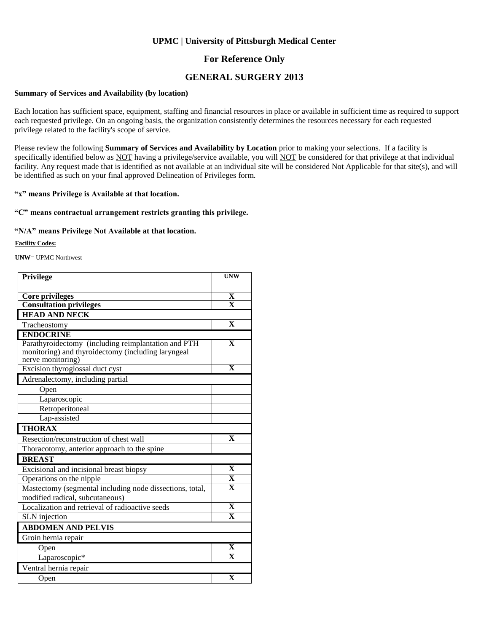### **For Reference Only**

### **GENERAL SURGERY 2013**

#### **Summary of Services and Availability (by location)**

Each location has sufficient space, equipment, staffing and financial resources in place or available in sufficient time as required to support each requested privilege. On an ongoing basis, the organization consistently determines the resources necessary for each requested privilege related to the facility's scope of service.

Please review the following **Summary of Services and Availability by Location** prior to making your selections. If a facility is specifically identified below as NOT having a privilege/service available, you will NOT be considered for that privilege at that individual facility. Any request made that is identified as not available at an individual site will be considered Not Applicable for that site(s), and will be identified as such on your final approved Delineation of Privileges form.

#### **"x" means Privilege is Available at that location.**

### **"C" means contractual arrangement restricts granting this privilege.**

#### **"N/A" means Privilege Not Available at that location.**

#### **Facility Codes:**

**UNW**= UPMC Northwest

| Privilege                                                                                                                      | <b>UNW</b>              |
|--------------------------------------------------------------------------------------------------------------------------------|-------------------------|
|                                                                                                                                |                         |
| Core privileges                                                                                                                | X                       |
| <b>Consultation privileges</b>                                                                                                 | $\overline{\mathbf{x}}$ |
| <b>HEAD AND NECK</b>                                                                                                           |                         |
| Tracheostomy                                                                                                                   | $\mathbf{X}$            |
| <b>ENDOCRINE</b>                                                                                                               |                         |
| Parathyroidectomy (including reimplantation and PTH<br>monitoring) and thyroidectomy (including laryngeal<br>nerve monitoring) | $\mathbf X$             |
| Excision thyroglossal duct cyst                                                                                                | $\mathbf{x}$            |
| Adrenalectomy, including partial                                                                                               |                         |
| Open                                                                                                                           |                         |
| Laparoscopic                                                                                                                   |                         |
| Retroperitoneal                                                                                                                |                         |
| Lap-assisted                                                                                                                   |                         |
| <b>THORAX</b>                                                                                                                  |                         |
| Resection/reconstruction of chest wall                                                                                         | X                       |
| Thoracotomy, anterior approach to the spine                                                                                    |                         |
| <b>BREAST</b>                                                                                                                  |                         |
| Excisional and incisional breast biopsy                                                                                        | $\mathbf X$             |
| Operations on the nipple                                                                                                       | $\overline{\mathbf{X}}$ |
| Mastectomy (segmental including node dissections, total,<br>modified radical, subcutaneous)                                    | $\overline{\mathbf{X}}$ |
| Localization and retrieval of radioactive seeds                                                                                | $\overline{\mathbf{X}}$ |
| SLN injection                                                                                                                  | $\overline{\mathbf{x}}$ |
| <b>ABDOMEN AND PELVIS</b>                                                                                                      |                         |
| Groin hernia repair                                                                                                            |                         |
| Open                                                                                                                           | $\mathbf X$             |
| Laparoscopic*                                                                                                                  | $\overline{\mathbf{x}}$ |
| Ventral hernia repair                                                                                                          |                         |
| Open                                                                                                                           | $\overline{\textbf{X}}$ |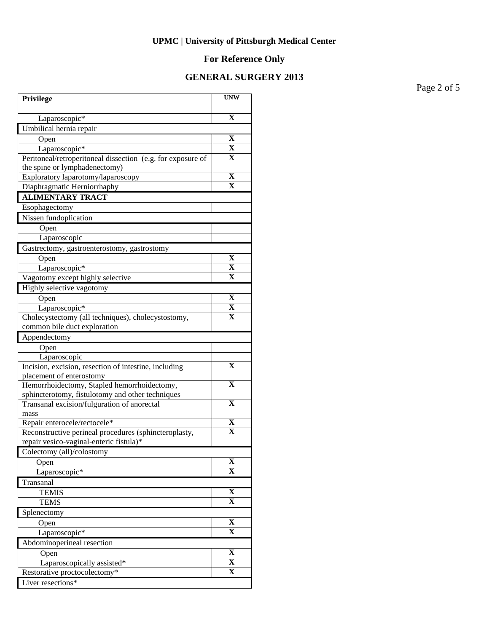# **For Reference Only**

## **GENERAL SURGERY 2013**

Page 2 of 5

| Privilege                                                                         | <b>UNW</b>              |
|-----------------------------------------------------------------------------------|-------------------------|
| Laparoscopic*                                                                     | $\mathbf X$             |
| Umbilical hernia repair                                                           |                         |
| Open                                                                              | X                       |
| Laparoscopic*                                                                     | $\mathbf X$             |
| Peritoneal/retroperitoneal dissection (e.g. for exposure of                       | X                       |
| the spine or lymphadenectomy)                                                     |                         |
| Exploratory laparotomy/laparoscopy                                                | X                       |
| Diaphragmatic Herniorrhaphy                                                       | X                       |
| <b>ALIMENTARY TRACT</b>                                                           |                         |
| Esophagectomy                                                                     |                         |
| Nissen fundoplication                                                             |                         |
| Open                                                                              |                         |
| Laparoscopic                                                                      |                         |
| Gastrectomy, gastroenterostomy, gastrostomy                                       |                         |
| Open                                                                              | $\mathbf X$             |
| Laparoscopic*                                                                     | x                       |
| Vagotomy except highly selective                                                  | x                       |
| Highly selective vagotomy                                                         |                         |
| Open                                                                              | X                       |
| Laparoscopic*                                                                     | $\mathbf X$             |
| Cholecystectomy (all techniques), cholecystostomy,                                | $\mathbf X$             |
| common bile duct exploration                                                      |                         |
| Appendectomy                                                                      |                         |
| Open                                                                              |                         |
| Laparoscopic                                                                      | $\mathbf X$             |
| Incision, excision, resection of intestine, including<br>placement of enterostomy |                         |
| Hemorrhoidectomy, Stapled hemorrhoidectomy,                                       | X                       |
| sphincterotomy, fistulotomy and other techniques                                  |                         |
| Transanal excision/fulguration of anorectal                                       | $\mathbf X$             |
| mass                                                                              |                         |
| Repair enterocele/rectocele*                                                      | $\mathbf X$             |
| Reconstructive perineal procedures (sphincteroplasty,                             | $\overline{\mathbf{x}}$ |
| repair vesico-vaginal-enteric fistula)*                                           |                         |
| Colectomy (all)/colostomy                                                         |                         |
| Open                                                                              | X                       |
| Laparoscopic*                                                                     | $\mathbf{X}$            |
| Transanal                                                                         |                         |
| <b>TEMIS</b>                                                                      | $\overline{\mathbf{X}}$ |
| <b>TEMS</b>                                                                       | x                       |
| Splenectomy                                                                       |                         |
| Open                                                                              | $\mathbf X$             |
| Laparoscopic*                                                                     | X                       |
| Abdominoperineal resection                                                        |                         |
| Open                                                                              | $\overline{\mathbf{X}}$ |
| Laparoscopically assisted*                                                        | $\overline{\mathbf{X}}$ |
| Restorative proctocolectomy*                                                      | $\overline{\mathbf{X}}$ |
| Liver resections*                                                                 |                         |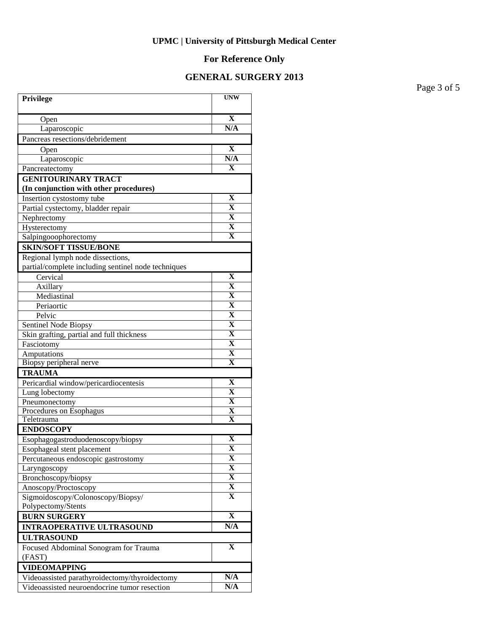# **For Reference Only**

## **GENERAL SURGERY 2013**

Page 3 of 5

| Privilege                                                            | <b>UNW</b>              |
|----------------------------------------------------------------------|-------------------------|
| Open                                                                 | $\mathbf X$             |
| Laparoscopic                                                         | N/A                     |
| Pancreas resections/debridement                                      |                         |
| Open                                                                 | X                       |
| Laparoscopic                                                         | N/A                     |
| Pancreatectomy                                                       | X                       |
| <b>GENITOURINARY TRACT</b><br>(In conjunction with other procedures) |                         |
| Insertion cystostomy tube                                            | $\mathbf X$             |
| Partial cystectomy, bladder repair                                   | $\mathbf X$             |
| Nephrectomy                                                          | $\mathbf X$             |
| Hysterectomy                                                         | $\mathbf X$             |
| Salpingooophorectomy                                                 | $\overline{\mathbf{X}}$ |
| <b>SKIN/SOFT TISSUE/BONE</b>                                         |                         |
| Regional lymph node dissections,                                     |                         |
| partial/complete including sentinel node techniques                  |                         |
| Cervical                                                             | $\mathbf X$             |
| Axillary                                                             | $\mathbf X$             |
| Mediastinal                                                          | X                       |
| Periaortic                                                           | $\overline{\textbf{X}}$ |
| Pelvic                                                               | $\overline{\textbf{X}}$ |
| Sentinel Node Biopsy                                                 | $\overline{\textbf{X}}$ |
| Skin grafting, partial and full thickness                            | $\overline{\textbf{X}}$ |
| Fasciotomy                                                           | $\overline{\textbf{X}}$ |
| Amputations                                                          | X                       |
| Biopsy peripheral nerve                                              | $\overline{\mathbf{X}}$ |
| <b>TRAUMA</b>                                                        |                         |
| Pericardial window/pericardiocentesis                                | $\mathbf X$             |
| Lung lobectomy                                                       | $\mathbf X$             |
| Pneumonectomy                                                        | $\mathbf X$             |
| Procedures on Esophagus                                              | $\mathbf X$             |
| Teletrauma                                                           | $\mathbf X$             |
| <b>ENDOSCOPY</b>                                                     |                         |
| Esophagogastroduodenoscopy/biopsy                                    | X                       |
| Esophageal stent placement                                           | $\overline{\mathbf{X}}$ |
| Percutaneous endoscopic gastrostomy                                  | X                       |
| Laryngoscopy                                                         | $\overline{\mathbf{X}}$ |
| Bronchoscopy/biopsy                                                  | $\overline{\mathbf{X}}$ |
| Anoscopy/Proctoscopy                                                 | $\overline{\mathbf{X}}$ |
| Sigmoidoscopy/Colonoscopy/Biopsy/                                    | $\mathbf X$             |
| Polypectomy/Stents                                                   |                         |
| <b>BURN SURGERY</b>                                                  | $\overline{\mathbf{X}}$ |
| <b>INTRAOPERATIVE ULTRASOUND</b>                                     | N/A                     |
| <b>ULTRASOUND</b>                                                    |                         |
| Focused Abdominal Sonogram for Trauma                                | $\mathbf X$             |
| (FAST)                                                               |                         |
| <b>VIDEOMAPPING</b>                                                  |                         |
| Videoassisted parathyroidectomy/thyroidectomy                        | N/A                     |
| Videoassisted neuroendocrine tumor resection                         | N/A                     |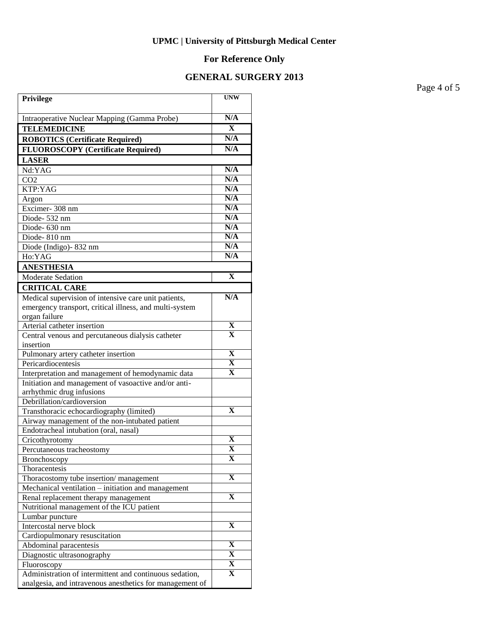# **For Reference Only**

## **GENERAL SURGERY 2013**

Page 4 of 5

| Privilege                                                                                  | <b>UNW</b>              |
|--------------------------------------------------------------------------------------------|-------------------------|
| Intraoperative Nuclear Mapping (Gamma Probe)                                               | N/A                     |
| <b>TELEMEDICINE</b>                                                                        | $\mathbf X$             |
| <b>ROBOTICS (Certificate Required)</b>                                                     | N/A                     |
| <b>FLUOROSCOPY</b> (Certificate Required)                                                  | N/A                     |
| <b>LASER</b>                                                                               |                         |
| Nd:YAG                                                                                     | N/A                     |
| CO <sub>2</sub>                                                                            | N/A                     |
| KTP:YAG                                                                                    | N/A                     |
| Argon                                                                                      | N/A                     |
| Excimer-308 nm                                                                             | N/A                     |
| Diode-532 nm                                                                               | N/A                     |
| Diode-630 nm                                                                               | N/A                     |
| Diode-810 nm                                                                               | N/A                     |
| Diode (Indigo) - 832 nm                                                                    | N/A                     |
| Ho:YAG                                                                                     | N/A                     |
| <b>ANESTHESIA</b>                                                                          |                         |
| <b>Moderate Sedation</b>                                                                   | $\mathbf{X}$            |
| <b>CRITICAL CARE</b>                                                                       |                         |
| Medical supervision of intensive care unit patients,                                       | N/A                     |
| emergency transport, critical illness, and multi-system                                    |                         |
| organ failure                                                                              |                         |
| Arterial catheter insertion                                                                | X                       |
| Central venous and percutaneous dialysis catheter                                          | $\mathbf{x}$            |
| insertion                                                                                  |                         |
| Pulmonary artery catheter insertion                                                        | $\overline{\mathbf{X}}$ |
| Pericardiocentesis                                                                         | $\overline{\mathbf{X}}$ |
| Interpretation and management of hemodynamic data                                          | X                       |
| Initiation and management of vasoactive and/or anti-                                       |                         |
| arrhythmic drug infusions                                                                  |                         |
| Debrillation/cardioversion                                                                 | $\mathbf X$             |
| Transthoracic echocardiography (limited)<br>Airway management of the non-intubated patient |                         |
| Endotracheal intubation (oral, nasal)                                                      |                         |
| Cricothyrotomy                                                                             | X                       |
| Percutaneous tracheostomy                                                                  | $\overline{\mathbf{X}}$ |
| Bronchoscopy                                                                               | X                       |
| Thoracentesis                                                                              |                         |
| Thoracostomy tube insertion/management                                                     | X                       |
| Mechanical ventilation – initiation and management                                         |                         |
| Renal replacement therapy management                                                       | X                       |
| Nutritional management of the ICU patient                                                  |                         |
| Lumbar puncture                                                                            |                         |
| Intercostal nerve block                                                                    | X                       |
| Cardiopulmonary resuscitation                                                              |                         |
| Abdominal paracentesis                                                                     | X                       |
| Diagnostic ultrasonography                                                                 | X                       |
| Fluoroscopy                                                                                | X                       |
| Administration of intermittent and continuous sedation,                                    | X                       |
| analgesia, and intravenous anesthetics for management of                                   |                         |